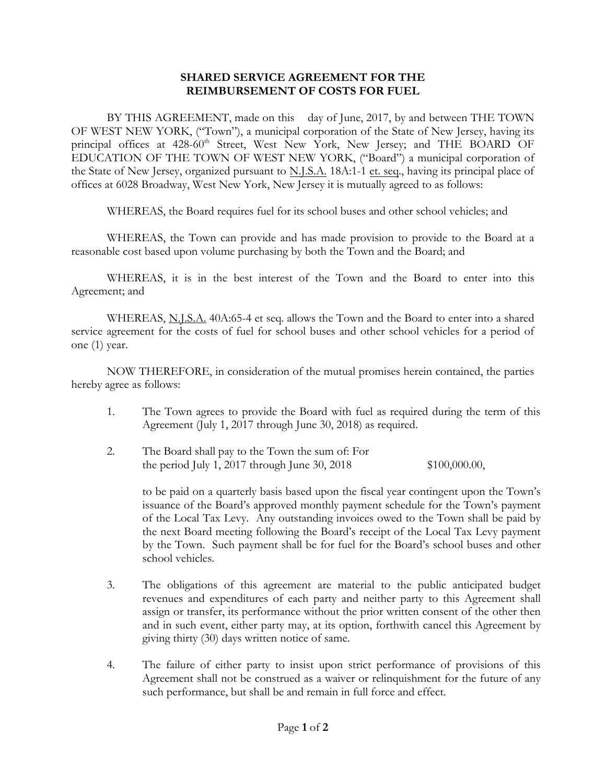## **SHARED SERVICE AGREEMENT FOR THE REIMBURSEMENT OF COSTS FOR FUEL**

BY THIS AGREEMENT, made on this day of June, 2017, by and between THE TOWN OF WEST NEW YORK, ("Town"), a municipal corporation of the State of New Jersey, having its principal offices at 428-60<sup>th</sup> Street, West New York, New Jersey; and THE BOARD OF EDUCATION OF THE TOWN OF WEST NEW YORK, ("Board") a municipal corporation of the State of New Jersey, organized pursuant to N.J.S.A. 18A:1-1 et. seq., having its principal place of offices at 6028 Broadway, West New York, New Jersey it is mutually agreed to as follows:

WHEREAS, the Board requires fuel for its school buses and other school vehicles; and

WHEREAS, the Town can provide and has made provision to provide to the Board at a reasonable cost based upon volume purchasing by both the Town and the Board; and

WHEREAS, it is in the best interest of the Town and the Board to enter into this Agreement; and

WHEREAS, N.J.S.A. 40A:65-4 et seq. allows the Town and the Board to enter into a shared service agreement for the costs of fuel for school buses and other school vehicles for a period of one (1) year.

NOW THEREFORE, in consideration of the mutual promises herein contained, the parties hereby agree as follows:

- 1. The Town agrees to provide the Board with fuel as required during the term of this Agreement (July 1, 2017 through June 30, 2018) as required.
- 2. The Board shall pay to the Town the sum of: For the period July 1, 2017 through June 30, 2018 \$100,000.00,

to be paid on a quarterly basis based upon the fiscal year contingent upon the Town's issuance of the Board's approved monthly payment schedule for the Town's payment of the Local Tax Levy. Any outstanding invoices owed to the Town shall be paid by the next Board meeting following the Board's receipt of the Local Tax Levy payment by the Town. Such payment shall be for fuel for the Board's school buses and other school vehicles.

- 3. The obligations of this agreement are material to the public anticipated budget revenues and expenditures of each party and neither party to this Agreement shall assign or transfer, its performance without the prior written consent of the other then and in such event, either party may, at its option, forthwith cancel this Agreement by giving thirty (30) days written notice of same.
- 4. The failure of either party to insist upon strict performance of provisions of this Agreement shall not be construed as a waiver or relinquishment for the future of any such performance, but shall be and remain in full force and effect.